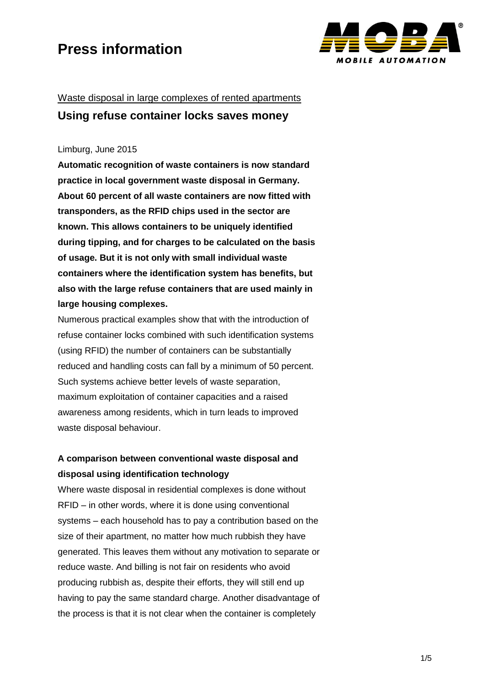

### Waste disposal in large complexes of rented apartments **Using refuse container locks saves money**

#### Limburg, June 2015

**Automatic recognition of waste containers is now standard practice in local government waste disposal in Germany. About 60 percent of all waste containers are now fitted with transponders, as the RFID chips used in the sector are known. This allows containers to be uniquely identified during tipping, and for charges to be calculated on the basis of usage. But it is not only with small individual waste containers where the identification system has benefits, but also with the large refuse containers that are used mainly in large housing complexes.**

Numerous practical examples show that with the introduction of refuse container locks combined with such identification systems (using RFID) the number of containers can be substantially reduced and handling costs can fall by a minimum of 50 percent. Such systems achieve better levels of waste separation, maximum exploitation of container capacities and a raised awareness among residents, which in turn leads to improved waste disposal behaviour.

### **A comparison between conventional waste disposal and disposal using identification technology**

Where waste disposal in residential complexes is done without RFID – in other words, where it is done using conventional systems – each household has to pay a contribution based on the size of their apartment, no matter how much rubbish they have generated. This leaves them without any motivation to separate or reduce waste. And billing is not fair on residents who avoid producing rubbish as, despite their efforts, they will still end up having to pay the same standard charge. Another disadvantage of the process is that it is not clear when the container is completely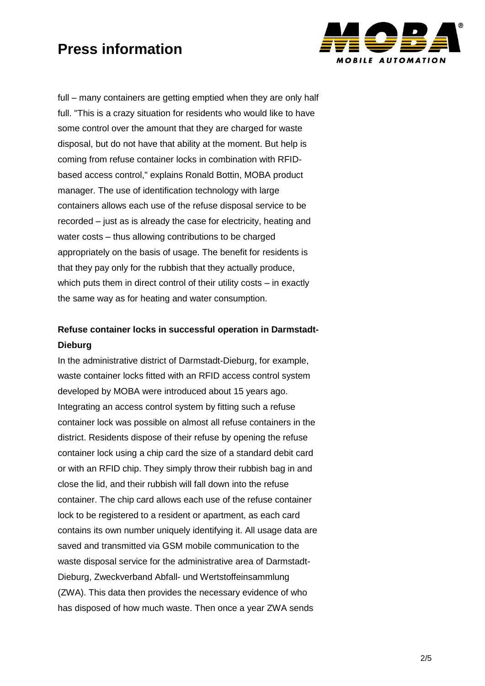

full – many containers are getting emptied when they are only half full. "This is a crazy situation for residents who would like to have some control over the amount that they are charged for waste disposal, but do not have that ability at the moment. But help is coming from refuse container locks in combination with RFIDbased access control," explains Ronald Bottin, MOBA product manager. The use of identification technology with large containers allows each use of the refuse disposal service to be recorded – just as is already the case for electricity, heating and water costs – thus allowing contributions to be charged appropriately on the basis of usage. The benefit for residents is that they pay only for the rubbish that they actually produce, which puts them in direct control of their utility costs – in exactly the same way as for heating and water consumption.

### **Refuse container locks in successful operation in Darmstadt-Dieburg**

In the administrative district of Darmstadt-Dieburg, for example, waste container locks fitted with an RFID access control system developed by MOBA were introduced about 15 years ago. Integrating an access control system by fitting such a refuse container lock was possible on almost all refuse containers in the district. Residents dispose of their refuse by opening the refuse container lock using a chip card the size of a standard debit card or with an RFID chip. They simply throw their rubbish bag in and close the lid, and their rubbish will fall down into the refuse container. The chip card allows each use of the refuse container lock to be registered to a resident or apartment, as each card contains its own number uniquely identifying it. All usage data are saved and transmitted via GSM mobile communication to the waste disposal service for the administrative area of Darmstadt-Dieburg, Zweckverband Abfall- und Wertstoffeinsammlung (ZWA). This data then provides the necessary evidence of who has disposed of how much waste. Then once a year ZWA sends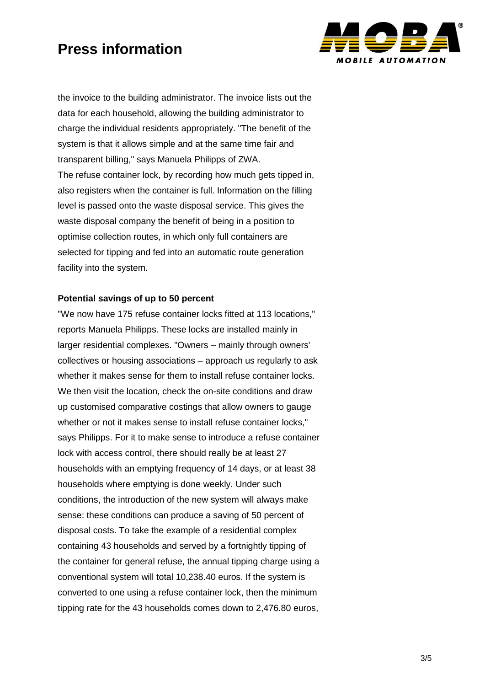

the invoice to the building administrator. The invoice lists out the data for each household, allowing the building administrator to charge the individual residents appropriately. "The benefit of the system is that it allows simple and at the same time fair and transparent billing," says Manuela Philipps of ZWA. The refuse container lock, by recording how much gets tipped in, also registers when the container is full. Information on the filling level is passed onto the waste disposal service. This gives the waste disposal company the benefit of being in a position to optimise collection routes, in which only full containers are selected for tipping and fed into an automatic route generation facility into the system.

#### **Potential savings of up to 50 percent**

"We now have 175 refuse container locks fitted at 113 locations," reports Manuela Philipps. These locks are installed mainly in larger residential complexes. "Owners – mainly through owners' collectives or housing associations – approach us regularly to ask whether it makes sense for them to install refuse container locks. We then visit the location, check the on-site conditions and draw up customised comparative costings that allow owners to gauge whether or not it makes sense to install refuse container locks," says Philipps. For it to make sense to introduce a refuse container lock with access control, there should really be at least 27 households with an emptying frequency of 14 days, or at least 38 households where emptying is done weekly. Under such conditions, the introduction of the new system will always make sense: these conditions can produce a saving of 50 percent of disposal costs. To take the example of a residential complex containing 43 households and served by a fortnightly tipping of the container for general refuse, the annual tipping charge using a conventional system will total 10,238.40 euros. If the system is converted to one using a refuse container lock, then the minimum tipping rate for the 43 households comes down to 2,476.80 euros,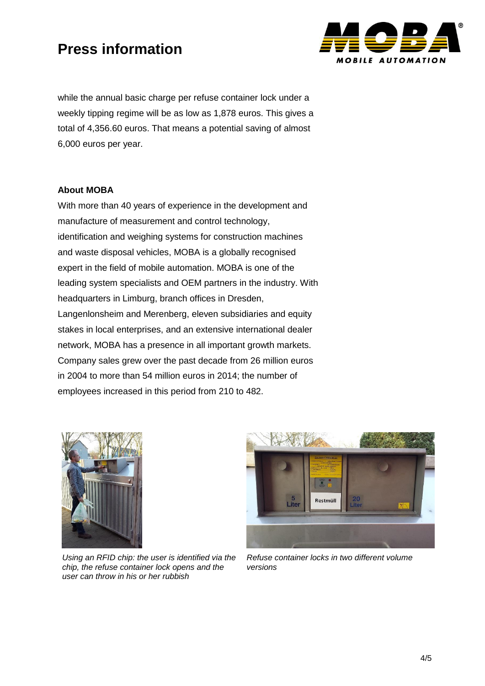

while the annual basic charge per refuse container lock under a weekly tipping regime will be as low as 1,878 euros. This gives a total of 4,356.60 euros. That means a potential saving of almost 6,000 euros per year.

#### **About MOBA**

With more than 40 years of experience in the development and manufacture of measurement and control technology, identification and weighing systems for construction machines and waste disposal vehicles, MOBA is a globally recognised expert in the field of mobile automation. MOBA is one of the leading system specialists and OEM partners in the industry. With headquarters in Limburg, branch offices in Dresden, Langenlonsheim and Merenberg, eleven subsidiaries and equity stakes in local enterprises, and an extensive international dealer network, MOBA has a presence in all important growth markets. Company sales grew over the past decade from 26 million euros in 2004 to more than 54 million euros in 2014; the number of employees increased in this period from 210 to 482.



*Using an RFID chip: the user is identified via the chip, the refuse container lock opens and the user can throw in his or her rubbish*



*Refuse container locks in two different volume versions*